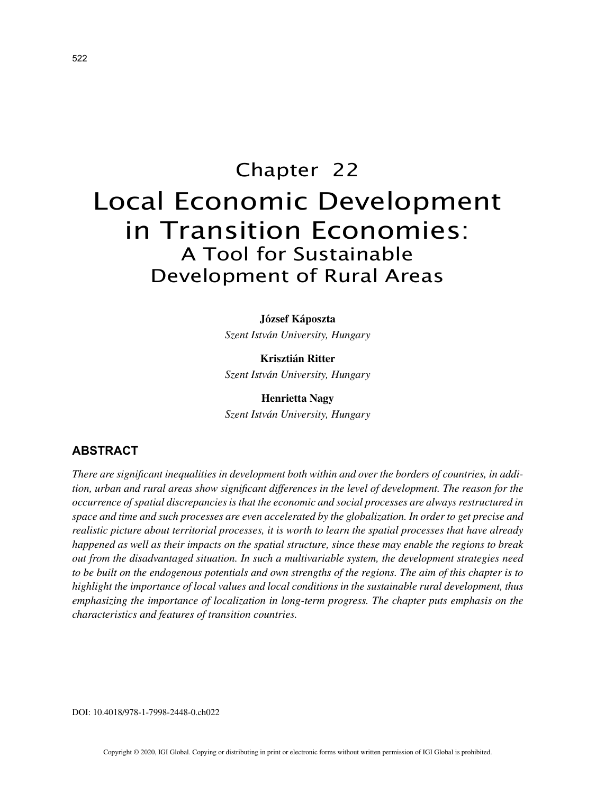# Chapter 22 Local Economic Development in Transition Economies: A Tool for Sustainable Development of Rural Areas

**József Káposzta**

*Szent István University, Hungary*

**Krisztián Ritter** *Szent István University, Hungary*

**Henrietta Nagy** *Szent István University, Hungary*

## **ABSTRACT**

*There are significant inequalities in development both within and over the borders of countries, in addition, urban and rural areas show significant differences in the level of development. The reason for the occurrence of spatial discrepancies is that the economic and social processes are always restructured in space and time and such processes are even accelerated by the globalization. In order to get precise and realistic picture about territorial processes, it is worth to learn the spatial processes that have already happened as well as their impacts on the spatial structure, since these may enable the regions to break out from the disadvantaged situation. In such a multivariable system, the development strategies need to be built on the endogenous potentials and own strengths of the regions. The aim of this chapter is to highlight the importance of local values and local conditions in the sustainable rural development, thus emphasizing the importance of localization in long-term progress. The chapter puts emphasis on the characteristics and features of transition countries.*

DOI: 10.4018/978-1-7998-2448-0.ch022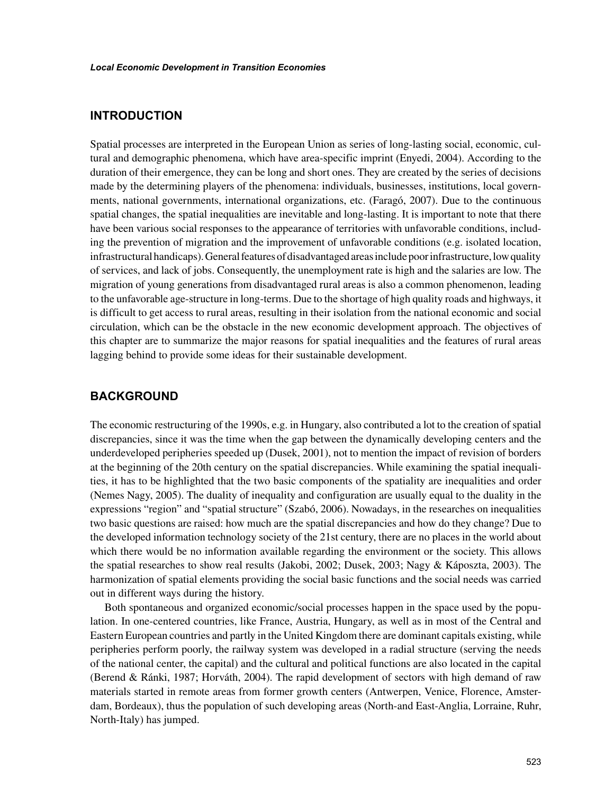## **INTRODUCTION**

Spatial processes are interpreted in the European Union as series of long-lasting social, economic, cultural and demographic phenomena, which have area-specific imprint (Enyedi, 2004). According to the duration of their emergence, they can be long and short ones. They are created by the series of decisions made by the determining players of the phenomena: individuals, businesses, institutions, local governments, national governments, international organizations, etc. (Faragó, 2007). Due to the continuous spatial changes, the spatial inequalities are inevitable and long-lasting. It is important to note that there have been various social responses to the appearance of territories with unfavorable conditions, including the prevention of migration and the improvement of unfavorable conditions (e.g. isolated location, infrastructural handicaps). General features of disadvantaged areas include poor infrastructure, low quality of services, and lack of jobs. Consequently, the unemployment rate is high and the salaries are low. The migration of young generations from disadvantaged rural areas is also a common phenomenon, leading to the unfavorable age-structure in long-terms. Due to the shortage of high quality roads and highways, it is difficult to get access to rural areas, resulting in their isolation from the national economic and social circulation, which can be the obstacle in the new economic development approach. The objectives of this chapter are to summarize the major reasons for spatial inequalities and the features of rural areas lagging behind to provide some ideas for their sustainable development.

## **BACKGROUND**

The economic restructuring of the 1990s, e.g. in Hungary, also contributed a lot to the creation of spatial discrepancies, since it was the time when the gap between the dynamically developing centers and the underdeveloped peripheries speeded up (Dusek, 2001), not to mention the impact of revision of borders at the beginning of the 20th century on the spatial discrepancies. While examining the spatial inequalities, it has to be highlighted that the two basic components of the spatiality are inequalities and order (Nemes Nagy, 2005). The duality of inequality and configuration are usually equal to the duality in the expressions "region" and "spatial structure" (Szabó, 2006). Nowadays, in the researches on inequalities two basic questions are raised: how much are the spatial discrepancies and how do they change? Due to the developed information technology society of the 21st century, there are no places in the world about which there would be no information available regarding the environment or the society. This allows the spatial researches to show real results (Jakobi, 2002; Dusek, 2003; Nagy & Káposzta, 2003). The harmonization of spatial elements providing the social basic functions and the social needs was carried out in different ways during the history.

Both spontaneous and organized economic/social processes happen in the space used by the population. In one-centered countries, like France, Austria, Hungary, as well as in most of the Central and Eastern European countries and partly in the United Kingdom there are dominant capitals existing, while peripheries perform poorly, the railway system was developed in a radial structure (serving the needs of the national center, the capital) and the cultural and political functions are also located in the capital (Berend & Ránki, 1987; Horváth, 2004). The rapid development of sectors with high demand of raw materials started in remote areas from former growth centers (Antwerpen, Venice, Florence, Amsterdam, Bordeaux), thus the population of such developing areas (North-and East-Anglia, Lorraine, Ruhr, North-Italy) has jumped.